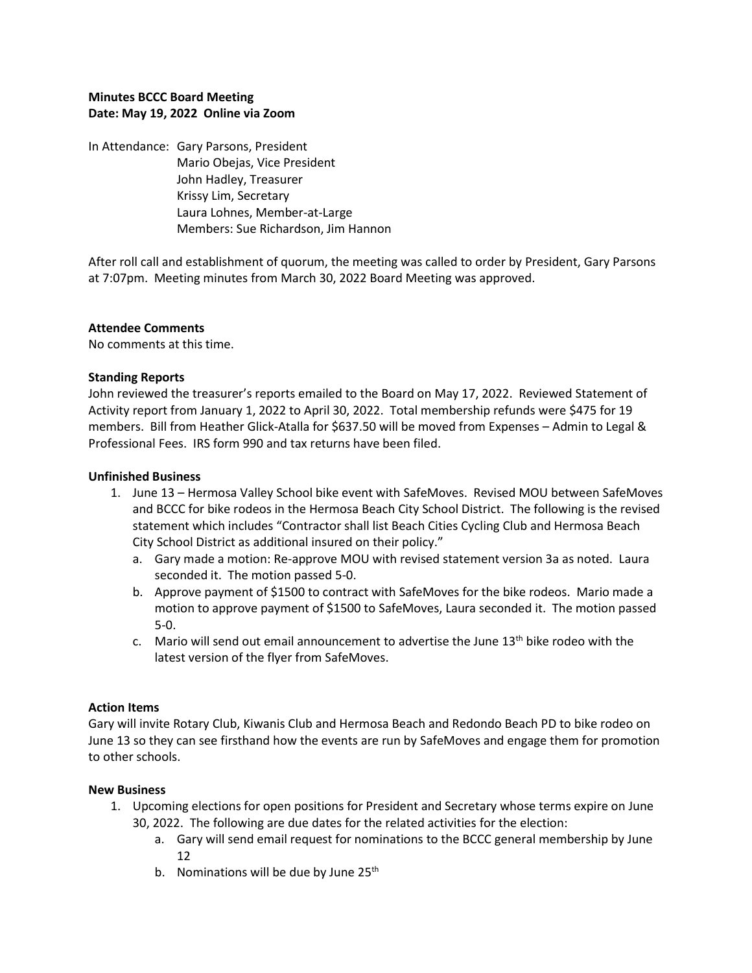## **Minutes BCCC Board Meeting Date: May 19, 2022 Online via Zoom**

In Attendance: Gary Parsons, President Mario Obejas, Vice President John Hadley, Treasurer Krissy Lim, Secretary Laura Lohnes, Member-at-Large Members: Sue Richardson, Jim Hannon

After roll call and establishment of quorum, the meeting was called to order by President, Gary Parsons at 7:07pm. Meeting minutes from March 30, 2022 Board Meeting was approved.

### **Attendee Comments**

No comments at this time.

### **Standing Reports**

John reviewed the treasurer's reports emailed to the Board on May 17, 2022. Reviewed Statement of Activity report from January 1, 2022 to April 30, 2022. Total membership refunds were \$475 for 19 members. Bill from Heather Glick-Atalla for \$637.50 will be moved from Expenses – Admin to Legal & Professional Fees. IRS form 990 and tax returns have been filed.

### **Unfinished Business**

- 1. June 13 Hermosa Valley School bike event with SafeMoves. Revised MOU between SafeMoves and BCCC for bike rodeos in the Hermosa Beach City School District. The following is the revised statement which includes "Contractor shall list Beach Cities Cycling Club and Hermosa Beach City School District as additional insured on their policy."
	- a. Gary made a motion: Re-approve MOU with revised statement version 3a as noted. Laura seconded it. The motion passed 5-0.
	- b. Approve payment of \$1500 to contract with SafeMoves for the bike rodeos. Mario made a motion to approve payment of \$1500 to SafeMoves, Laura seconded it. The motion passed 5-0.
	- c. Mario will send out email announcement to advertise the June  $13<sup>th</sup>$  bike rodeo with the latest version of the flyer from SafeMoves.

## **Action Items**

Gary will invite Rotary Club, Kiwanis Club and Hermosa Beach and Redondo Beach PD to bike rodeo on June 13 so they can see firsthand how the events are run by SafeMoves and engage them for promotion to other schools.

#### **New Business**

- 1. Upcoming elections for open positions for President and Secretary whose terms expire on June 30, 2022. The following are due dates for the related activities for the election:
	- a. Gary will send email request for nominations to the BCCC general membership by June 12
	- b. Nominations will be due by June  $25<sup>th</sup>$